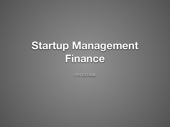### **Startup Management Finance**

FRI 63749B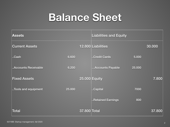### **Balance Sheet**

| <b>Assets</b>         |        |                      | <b>Liabilities and Equity</b> |        |        |
|-----------------------|--------|----------------------|-------------------------------|--------|--------|
| <b>Current Assets</b> |        |                      | 12.800 Liabilities            |        | 30.000 |
| Cash                  | 6.600  |                      | Credit Cards                  | 5.000  |        |
| Accounts Receivable   | 6.200  |                      | Accounts Payable              | 25.000 |        |
| <b>Fixed Assets</b>   |        | <b>25.000 Equity</b> |                               |        | 7.800  |
| Tools and equipment   | 25.000 |                      | Capital                       | 7000   |        |
|                       |        |                      | Retained Earnings             | 800    |        |
| <b>Total</b>          |        | 37.800 Total         |                               |        | 37.800 |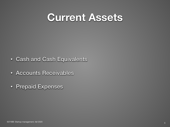#### **Current Assets**

- Cash and Cash Equivalents
- Accounts Receivables
- Prepaid Expenses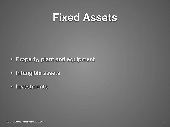#### **Fixed Assets**

- Property, plant and equipment
- Intangible assets
- Investments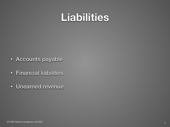#### **Liabilities**

- Accounts payable
- Financial liabilities
- Unearned revenue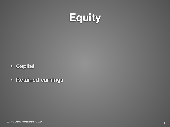

- Capital
- Retained earnings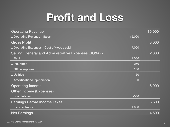### Profit and Loss

| <b>Operating Revenue</b>                              |        | 15.000 |  |  |  |  |
|-------------------------------------------------------|--------|--------|--|--|--|--|
| Operating Revenue - Sales                             | 15.000 |        |  |  |  |  |
| <b>Gross Profit</b>                                   |        | 8.000  |  |  |  |  |
| Operating Expenses - Cost of goods sold               | 7.000  |        |  |  |  |  |
| Selling, General and Administrative Expenses (SG&A) - |        | 2.000  |  |  |  |  |
| Rent                                                  | 1.500  |        |  |  |  |  |
| Insurance                                             | 250    |        |  |  |  |  |
| Office supplies                                       | 150    |        |  |  |  |  |
| Utilities                                             | 50     |        |  |  |  |  |
| Amortisation/Depreciation                             | 50     |        |  |  |  |  |
| <b>Operating Income</b>                               |        | 6.000  |  |  |  |  |
| <b>Other Income (Expenses)</b>                        |        |        |  |  |  |  |
| Loan interest                                         | $-500$ |        |  |  |  |  |
| <b>Earnings Before Income Taxes</b>                   |        | 5.500  |  |  |  |  |
| Income Taxes                                          | 1.000  |        |  |  |  |  |
| <b>Net Earnings</b>                                   |        | 4.500  |  |  |  |  |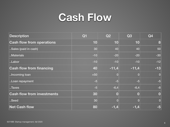#### **Cash Flow**

| <b>Description</b>                | Q1    | Q2      | Q <sub>3</sub> | Q4           |
|-----------------------------------|-------|---------|----------------|--------------|
| <b>Cash flow from operations</b>  | 10    | 10      | 10             | 8            |
| Sales (paid in cash)              | 30    | 40      | 40             | 50           |
| Materials                         | $-10$ | $-20$   | $-20$          | $-30$        |
| Labor                             | $-10$ | $-10$   | $-10$          | $-12$        |
| <b>Cash flow from financing</b>   | 40    | $-11,4$ | $-11,4$        | $-13$        |
| I.lncoming loan                   | $+50$ |         |                | $\mathbf{0}$ |
| Loan repayment                    | $-5$  | $-5$    | $-5$           | $-5$         |
| Taxes                             | $-5$  | $-6,4$  | $-6,4$         | $-8$         |
| <b>Cash flow from investments</b> | 30    |         |                | 0            |
| Seed                              | 30    |         |                | $\mathbf{0}$ |
| <b>Net Cash flow</b>              | 80    | $-1,4$  | -1,4           | -5           |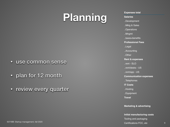# **Planning**

- use common sense
- plan for 12 month
- review every quarter

**Expenses total Salaries** ..Development ..Mktg & Sales ..Operations ..Mngmt ..taxes+benefits **Professional Fees** ..Legal ..Accounting ..Other **Rent & expenses** ..rent - SLO ..rent/desks - US ..rent/app - US **Communication expenses** ..Telephones **IT Costs** ..Hosting ..Equipment **Travel Marketing & advertising**

**Initial manufacturing costs** Tooling and packaging Certifications FCC, etc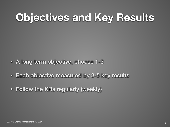# **Objectives and Key Results**

- A long term objective, choose 1-3
- Each objective measured by 3-5 key results
- Follow the KRs regularly (weekly)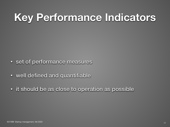# **Key Performance Indicators**

- set of performance measures
- well defined and quantifiable
- it should be as close to operation as possible